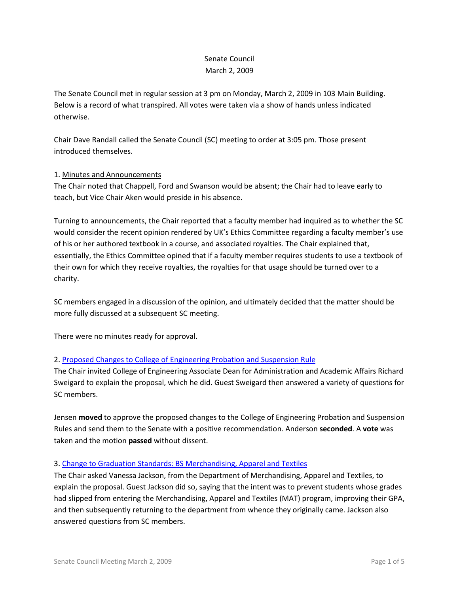## Senate Council March 2, 2009

The Senate Council met in regular session at 3 pm on Monday, March 2, 2009 in 103 Main Building. Below is a record of what transpired. All votes were taken via a show of hands unless indicated otherwise.

Chair Dave Randall called the Senate Council (SC) meeting to order at 3:05 pm. Those present introduced themselves.

## 1. Minutes and Announcements

The Chair noted that Chappell, Ford and Swanson would be absent; the Chair had to leave early to teach, but Vice Chair Aken would preside in his absence.

Turning to announcements, the Chair reported that a faculty member had inquired as to whether the SC would consider the recent opinion rendered by UK's Ethics Committee regarding a faculty member's use of his or her authored textbook in a course, and associated royalties. The Chair explained that, essentially, the Ethics Committee opined that if a faculty member requires students to use a textbook of their own for which they receive royalties, the royalties for that usage should be turned over to a charity.

SC members engaged in a discussion of the opinion, and ultimately decided that the matter should be more fully discussed at a subsequent SC meeting.

There were no minutes ready for approval.

# 2. [Proposed Changes to College of Engineering Probation and Suspension Rule](http://www.uky.edu/USC/New/files/Col%20of%20Engr%20Probation%20&%20Susp%20-%20Rule%20Change_Complete1.pdf)

The Chair invited College of Engineering Associate Dean for Administration and Academic Affairs Richard Sweigard to explain the proposal, which he did. Guest Sweigard then answered a variety of questions for SC members.

Jensen **moved** to approve the proposed changes to the College of Engineering Probation and Suspension Rules and send them to the Senate with a positive recommendation. Anderson **seconded**. A **vote** was taken and the motion **passed** without dissent.

#### 3. [Change to Graduation Standards: BS Merchandising, Apparel and Textiles](http://www.uky.edu/USC/New/files/Merchandising%20Txtile%20&%20Apparel%20-%20Prog%20Change_Complete.pdf)

The Chair asked Vanessa Jackson, from the Department of Merchandising, Apparel and Textiles, to explain the proposal. Guest Jackson did so, saying that the intent was to prevent students whose grades had slipped from entering the Merchandising, Apparel and Textiles (MAT) program, improving their GPA, and then subsequently returning to the department from whence they originally came. Jackson also answered questions from SC members.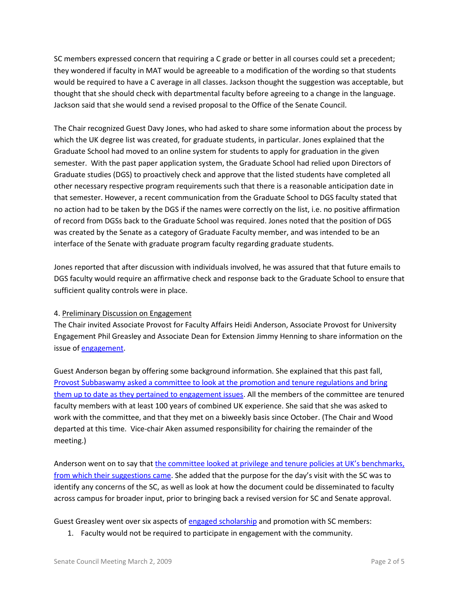SC members expressed concern that requiring a C grade or better in all courses could set a precedent; they wondered if faculty in MAT would be agreeable to a modification of the wording so that students would be required to have a C average in all classes. Jackson thought the suggestion was acceptable, but thought that she should check with departmental faculty before agreeing to a change in the language. Jackson said that she would send a revised proposal to the Office of the Senate Council.

The Chair recognized Guest Davy Jones, who had asked to share some information about the process by which the UK degree list was created, for graduate students, in particular. Jones explained that the Graduate School had moved to an online system for students to apply for graduation in the given semester. With the past paper application system, the Graduate School had relied upon Directors of Graduate studies (DGS) to proactively check and approve that the listed students have completed all other necessary respective program requirements such that there is a reasonable anticipation date in that semester. However, a recent communication from the Graduate School to DGS faculty stated that no action had to be taken by the DGS if the names were correctly on the list, i.e. no positive affirmation of record from DGSs back to the Graduate School was required. Jones noted that the position of DGS was created by the Senate as a category of Graduate Faculty member, and was intended to be an interface of the Senate with graduate program faculty regarding graduate students.

Jones reported that after discussion with individuals involved, he was assured that that future emails to DGS faculty would require an affirmative check and response back to the Graduate School to ensure that sufficient quality controls were in place.

#### 4. Preliminary Discussion on Engagement

The Chair invited Associate Provost for Faculty Affairs Heidi Anderson, Associate Provost for University Engagement Phil Greasley and Associate Dean for Extension Jimmy Henning to share information on the issue o[f engagement.](http://www.uky.edu/USC/New/files/Engagement%20Definition%20and%20Examples%2020090216.pdf)

Guest Anderson began by offering some background information. She explained that this past fall, [Provost Subbaswamy asked a committee to look at the promotion and tenure regulations and bring](http://www.uky.edu/USC/New/files/Provost%20Charge.pdf)  [them up to date as they pertained to engagement issues.](http://www.uky.edu/USC/New/files/Provost%20Charge.pdf) All the members of the committee are tenured faculty members with at least 100 years of combined UK experience. She said that she was asked to work with the committee, and that they met on a biweekly basis since October. (The Chair and Wood departed at this time. Vice-chair Aken assumed responsibility for chairing the remainder of the meeting.)

Anderson went on to say that [the committee looked at privilege and tenure policies at UK's benchmarks,](http://www.uky.edu/USC/New/files/DRAFT%20P%20&%20T%20Document%20to%20be%20Shared%20with%20the%20Senate%20Council%2020090216.pdf)  [from which their suggestions came](http://www.uky.edu/USC/New/files/DRAFT%20P%20&%20T%20Document%20to%20be%20Shared%20with%20the%20Senate%20Council%2020090216.pdf). She added that the purpose for the day's visit with the SC was to identify any concerns of the SC, as well as look at how the document could be disseminated to faculty across campus for broader input, prior to bringing back a revised version for SC and Senate approval.

Guest Greasley went over six aspects o[f engaged scholarship](http://www.uky.edu/USC/New/files/Engaged%20Scholarship%20Matrix%20Penn%20State%20U%20UniSCOPE.pdf) and promotion with SC members:

1. Faculty would not be required to participate in engagement with the community.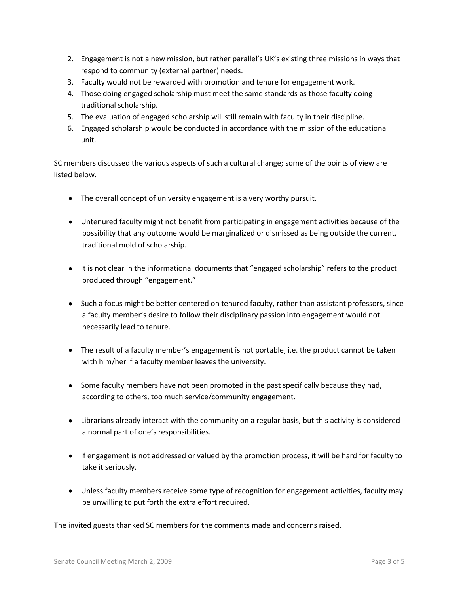- 2. Engagement is not a new mission, but rather parallel's UK's existing three missions in ways that respond to community (external partner) needs.
- 3. Faculty would not be rewarded with promotion and tenure for engagement work.
- 4. Those doing engaged scholarship must meet the same standards as those faculty doing traditional scholarship.
- 5. The evaluation of engaged scholarship will still remain with faculty in their discipline.
- 6. Engaged scholarship would be conducted in accordance with the mission of the educational unit.

SC members discussed the various aspects of such a cultural change; some of the points of view are listed below.

- The overall concept of university engagement is a very worthy pursuit.
- Untenured faculty might not benefit from participating in engagement activities because of the possibility that any outcome would be marginalized or dismissed as being outside the current, traditional mold of scholarship.
- It is not clear in the informational documents that "engaged scholarship" refers to the product produced through "engagement."
- Such a focus might be better centered on tenured faculty, rather than assistant professors, since a faculty member's desire to follow their disciplinary passion into engagement would not necessarily lead to tenure.
- The result of a faculty member's engagement is not portable, i.e. the product cannot be taken with him/her if a faculty member leaves the university.
- Some faculty members have not been promoted in the past specifically because they had, according to others, too much service/community engagement.
- Librarians already interact with the community on a regular basis, but this activity is considered a normal part of one's responsibilities.
- If engagement is not addressed or valued by the promotion process, it will be hard for faculty to take it seriously.
- Unless faculty members receive some type of recognition for engagement activities, faculty may be unwilling to put forth the extra effort required.

The invited guests thanked SC members for the comments made and concerns raised.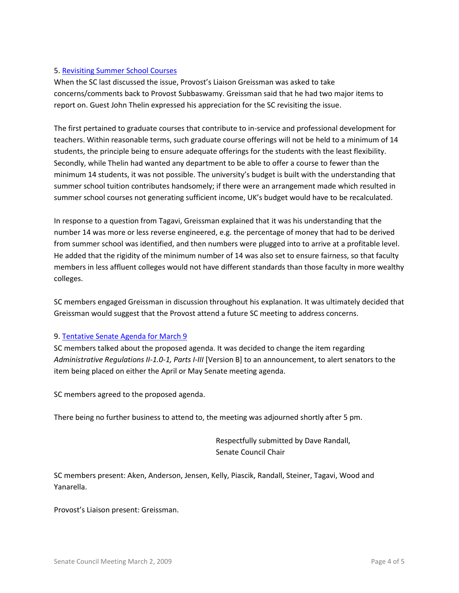## 5. [Revisiting Summer School Courses](http://www.uky.edu/USC/New/files/Provost)

When the SC last discussed the issue, Provost's Liaison Greissman was asked to take concerns/comments back to Provost Subbaswamy. Greissman said that he had two major items to report on. Guest John Thelin expressed his appreciation for the SC revisiting the issue.

The first pertained to graduate courses that contribute to in-service and professional development for teachers. Within reasonable terms, such graduate course offerings will not be held to a minimum of 14 students, the principle being to ensure adequate offerings for the students with the least flexibility. Secondly, while Thelin had wanted any department to be able to offer a course to fewer than the minimum 14 students, it was not possible. The university's budget is built with the understanding that summer school tuition contributes handsomely; if there were an arrangement made which resulted in summer school courses not generating sufficient income, UK's budget would have to be recalculated.

In response to a question from Tagavi, Greissman explained that it was his understanding that the number 14 was more or less reverse engineered, e.g. the percentage of money that had to be derived from summer school was identified, and then numbers were plugged into to arrive at a profitable level. He added that the rigidity of the minimum number of 14 was also set to ensure fairness, so that faculty members in less affluent colleges would not have different standards than those faculty in more wealthy colleges.

SC members engaged Greissman in discussion throughout his explanation. It was ultimately decided that Greissman would suggest that the Provost attend a future SC meeting to address concerns.

#### 9. [Tentative Senate Agenda for March 9](http://www.uky.edu/USC/New/files/Tentative%20Senate%20Agenda%20for%203-9-09.pdf)

SC members talked about the proposed agenda. It was decided to change the item regarding *Administrative Regulations II-1.0-1, Parts I-III* [Version B] to an announcement, to alert senators to the item being placed on either the April or May Senate meeting agenda.

SC members agreed to the proposed agenda.

There being no further business to attend to, the meeting was adjourned shortly after 5 pm.

Respectfully submitted by Dave Randall, Senate Council Chair

SC members present: Aken, Anderson, Jensen, Kelly, Piascik, Randall, Steiner, Tagavi, Wood and Yanarella.

Provost's Liaison present: Greissman.